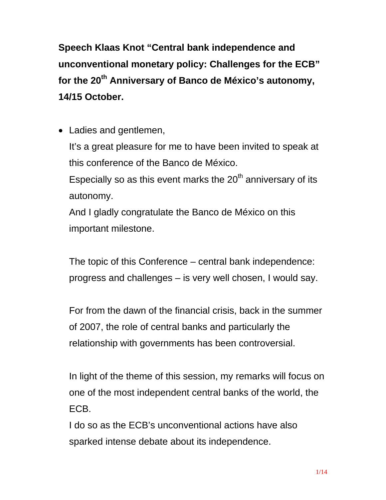**Speech Klaas Knot "Central bank independence and unconventional monetary policy: Challenges for the ECB"**  for the 20<sup>th</sup> Anniversary of Banco de México's autonomy, **14/15 October.** 

• Ladies and gentlemen, It's a great pleasure for me to have been invited to speak at this conference of the Banco de México. Especially so as this event marks the  $20<sup>th</sup>$  anniversary of its autonomy. And I gladly congratulate the Banco de México on this

important milestone.

The topic of this Conference – central bank independence: progress and challenges – is very well chosen, I would say.

For from the dawn of the financial crisis, back in the summer of 2007, the role of central banks and particularly the relationship with governments has been controversial.

In light of the theme of this session, my remarks will focus on one of the most independent central banks of the world, the ECB.

I do so as the ECB's unconventional actions have also sparked intense debate about its independence.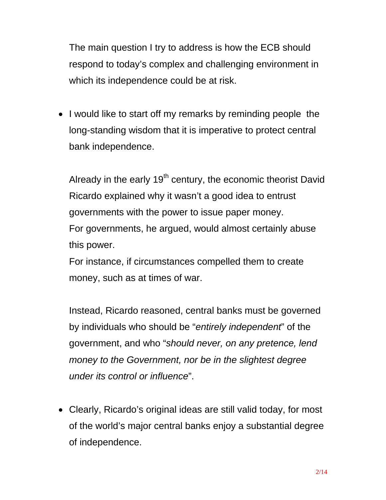The main question I try to address is how the ECB should respond to today's complex and challenging environment in which its independence could be at risk.

• I would like to start off my remarks by reminding people the long-standing wisdom that it is imperative to protect central bank independence.

Already in the early  $19<sup>th</sup>$  century, the economic theorist David Ricardo explained why it wasn't a good idea to entrust governments with the power to issue paper money. For governments, he argued, would almost certainly abuse this power.

For instance, if circumstances compelled them to create money, such as at times of war.

Instead, Ricardo reasoned, central banks must be governed by individuals who should be "*entirely independent*" of the government, and who "*should never, on any pretence, lend money to the Government, nor be in the slightest degree under its control or influence*".

 Clearly, Ricardo's original ideas are still valid today, for most of the world's major central banks enjoy a substantial degree of independence.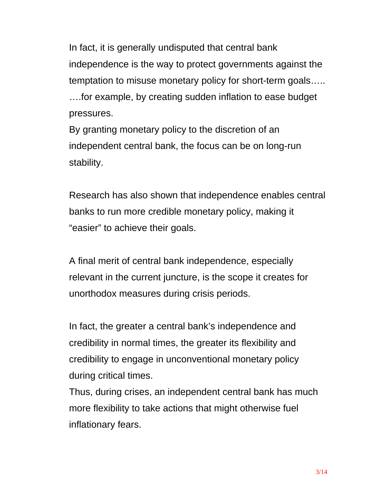In fact, it is generally undisputed that central bank independence is the way to protect governments against the temptation to misuse monetary policy for short-term goals….. ….for example, by creating sudden inflation to ease budget pressures.

By granting monetary policy to the discretion of an independent central bank, the focus can be on long-run stability.

Research has also shown that independence enables central banks to run more credible monetary policy, making it "easier" to achieve their goals.

A final merit of central bank independence, especially relevant in the current juncture, is the scope it creates for unorthodox measures during crisis periods.

In fact, the greater a central bank's independence and credibility in normal times, the greater its flexibility and credibility to engage in unconventional monetary policy during critical times.

Thus, during crises, an independent central bank has much more flexibility to take actions that might otherwise fuel inflationary fears.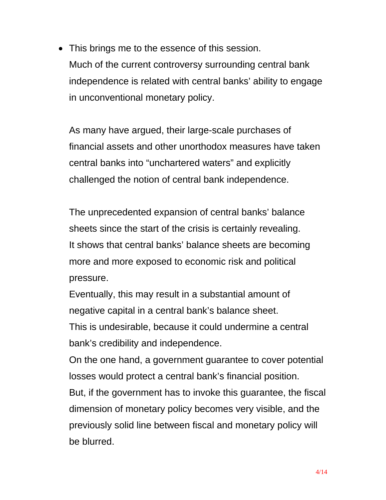• This brings me to the essence of this session. Much of the current controversy surrounding central bank independence is related with central banks' ability to engage in unconventional monetary policy.

As many have argued, their large-scale purchases of financial assets and other unorthodox measures have taken central banks into "unchartered waters" and explicitly challenged the notion of central bank independence.

The unprecedented expansion of central banks' balance sheets since the start of the crisis is certainly revealing. It shows that central banks' balance sheets are becoming more and more exposed to economic risk and political pressure.

Eventually, this may result in a substantial amount of negative capital in a central bank's balance sheet.

This is undesirable, because it could undermine a central bank's credibility and independence.

On the one hand, a government guarantee to cover potential losses would protect a central bank's financial position.

But, if the government has to invoke this guarantee, the fiscal dimension of monetary policy becomes very visible, and the previously solid line between fiscal and monetary policy will be blurred.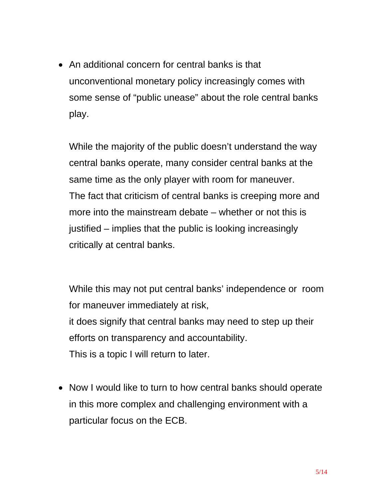• An additional concern for central banks is that unconventional monetary policy increasingly comes with some sense of "public unease" about the role central banks play.

While the majority of the public doesn't understand the way central banks operate, many consider central banks at the same time as the only player with room for maneuver. The fact that criticism of central banks is creeping more and more into the mainstream debate – whether or not this is justified – implies that the public is looking increasingly critically at central banks.

While this may not put central banks' independence or room for maneuver immediately at risk, it does signify that central banks may need to step up their efforts on transparency and accountability. This is a topic I will return to later.

• Now I would like to turn to how central banks should operate in this more complex and challenging environment with a particular focus on the ECB.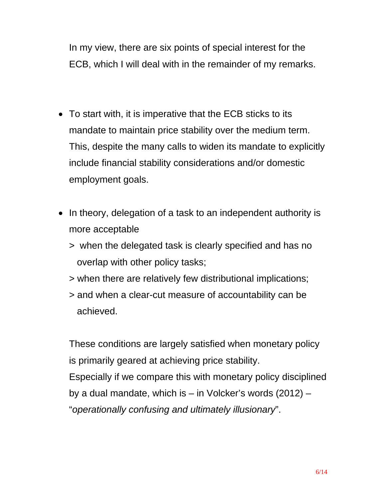In my view, there are six points of special interest for the ECB, which I will deal with in the remainder of my remarks.

- To start with, it is imperative that the ECB sticks to its mandate to maintain price stability over the medium term. This, despite the many calls to widen its mandate to explicitly include financial stability considerations and/or domestic employment goals.
- In theory, delegation of a task to an independent authority is more acceptable
	- > when the delegated task is clearly specified and has no overlap with other policy tasks;
	- > when there are relatively few distributional implications;
	- > and when a clear-cut measure of accountability can be achieved.

These conditions are largely satisfied when monetary policy is primarily geared at achieving price stability. Especially if we compare this with monetary policy disciplined by a dual mandate, which is – in Volcker's words (2012) – "*operationally confusing and ultimately illusionary*".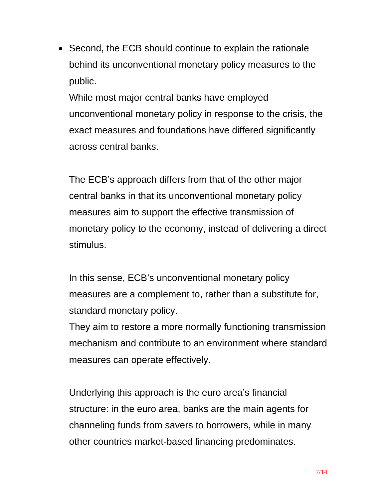• Second, the ECB should continue to explain the rationale behind its unconventional monetary policy measures to the public.

While most major central banks have employed unconventional monetary policy in response to the crisis, the exact measures and foundations have differed significantly across central banks.

The ECB's approach differs from that of the other major central banks in that its unconventional monetary policy measures aim to support the effective transmission of monetary policy to the economy, instead of delivering a direct stimulus.

In this sense, ECB's unconventional monetary policy measures are a complement to, rather than a substitute for, standard monetary policy.

They aim to restore a more normally functioning transmission mechanism and contribute to an environment where standard measures can operate effectively.

Underlying this approach is the euro area's financial structure: in the euro area, banks are the main agents for channeling funds from savers to borrowers, while in many other countries market-based financing predominates.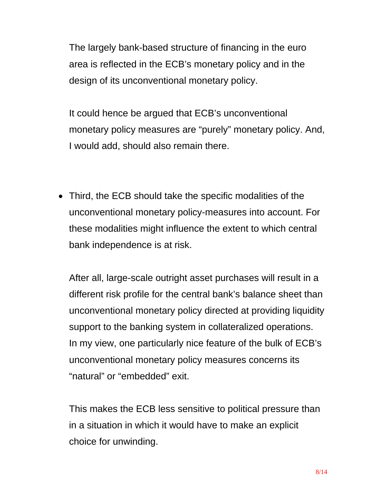The largely bank-based structure of financing in the euro area is reflected in the ECB's monetary policy and in the design of its unconventional monetary policy.

It could hence be argued that ECB's unconventional monetary policy measures are "purely" monetary policy. And, I would add, should also remain there.

 Third, the ECB should take the specific modalities of the unconventional monetary policy-measures into account. For these modalities might influence the extent to which central bank independence is at risk.

After all, large-scale outright asset purchases will result in a different risk profile for the central bank's balance sheet than unconventional monetary policy directed at providing liquidity support to the banking system in collateralized operations. In my view, one particularly nice feature of the bulk of ECB's unconventional monetary policy measures concerns its "natural" or "embedded" exit.

This makes the ECB less sensitive to political pressure than in a situation in which it would have to make an explicit choice for unwinding.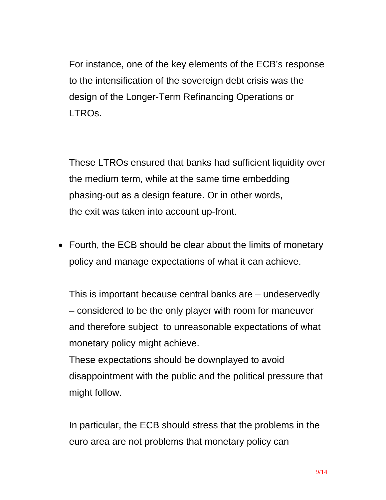For instance, one of the key elements of the ECB's response to the intensification of the sovereign debt crisis was the design of the Longer-Term Refinancing Operations or LTROs.

These LTROs ensured that banks had sufficient liquidity over the medium term, while at the same time embedding phasing-out as a design feature. Or in other words, the exit was taken into account up-front.

• Fourth, the ECB should be clear about the limits of monetary policy and manage expectations of what it can achieve.

This is important because central banks are – undeservedly – considered to be the only player with room for maneuver and therefore subject to unreasonable expectations of what monetary policy might achieve.

These expectations should be downplayed to avoid disappointment with the public and the political pressure that might follow.

In particular, the ECB should stress that the problems in the euro area are not problems that monetary policy can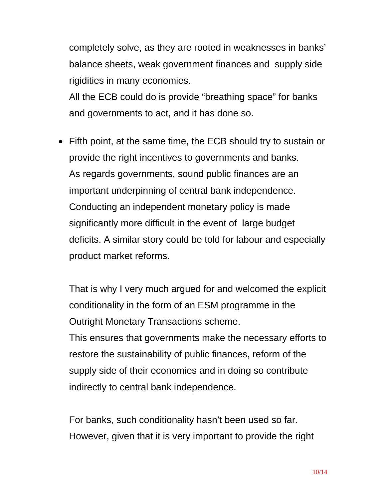completely solve, as they are rooted in weaknesses in banks' balance sheets, weak government finances and supply side rigidities in many economies.

All the ECB could do is provide "breathing space" for banks and governments to act, and it has done so.

• Fifth point, at the same time, the ECB should try to sustain or provide the right incentives to governments and banks. As regards governments, sound public finances are an important underpinning of central bank independence. Conducting an independent monetary policy is made significantly more difficult in the event of large budget deficits. A similar story could be told for labour and especially product market reforms.

That is why I very much argued for and welcomed the explicit conditionality in the form of an ESM programme in the Outright Monetary Transactions scheme.

This ensures that governments make the necessary efforts to restore the sustainability of public finances, reform of the supply side of their economies and in doing so contribute indirectly to central bank independence.

For banks, such conditionality hasn't been used so far. However, given that it is very important to provide the right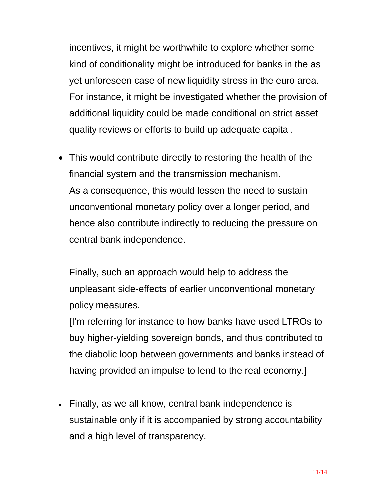incentives, it might be worthwhile to explore whether some kind of conditionality might be introduced for banks in the as yet unforeseen case of new liquidity stress in the euro area. For instance, it might be investigated whether the provision of additional liquidity could be made conditional on strict asset quality reviews or efforts to build up adequate capital.

• This would contribute directly to restoring the health of the financial system and the transmission mechanism. As a consequence, this would lessen the need to sustain unconventional monetary policy over a longer period, and hence also contribute indirectly to reducing the pressure on central bank independence.

Finally, such an approach would help to address the unpleasant side-effects of earlier unconventional monetary policy measures.

[I'm referring for instance to how banks have used LTROs to buy higher-yielding sovereign bonds, and thus contributed to the diabolic loop between governments and banks instead of having provided an impulse to lend to the real economy.]

 Finally, as we all know, central bank independence is sustainable only if it is accompanied by strong accountability and a high level of transparency.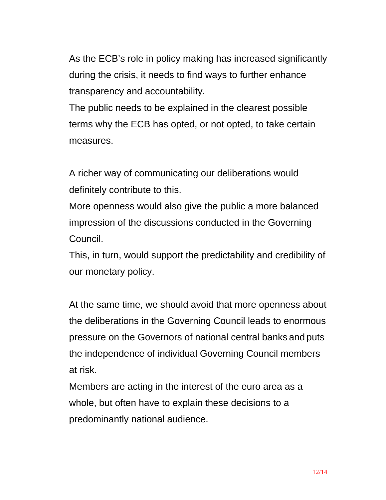As the ECB's role in policy making has increased significantly during the crisis, it needs to find ways to further enhance transparency and accountability.

The public needs to be explained in the clearest possible terms why the ECB has opted, or not opted, to take certain measures.

A richer way of communicating our deliberations would definitely contribute to this.

More openness would also give the public a more balanced impression of the discussions conducted in the Governing Council.

This, in turn, would support the predictability and credibility of our monetary policy.

At the same time, we should avoid that more openness about the deliberations in the Governing Council leads to enormous pressure on the Governors of national central banks and puts the independence of individual Governing Council members at risk.

Members are acting in the interest of the euro area as a whole, but often have to explain these decisions to a predominantly national audience.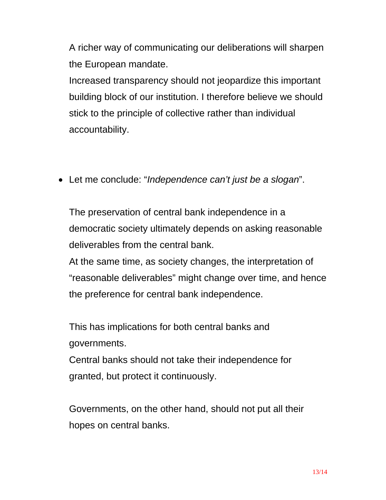A richer way of communicating our deliberations will sharpen the European mandate.

Increased transparency should not jeopardize this important building block of our institution. I therefore believe we should stick to the principle of collective rather than individual accountability.

Let me conclude: "*Independence can't just be a slogan*".

The preservation of central bank independence in a democratic society ultimately depends on asking reasonable deliverables from the central bank.

At the same time, as society changes, the interpretation of "reasonable deliverables" might change over time, and hence the preference for central bank independence.

This has implications for both central banks and governments.

Central banks should not take their independence for granted, but protect it continuously.

Governments, on the other hand, should not put all their hopes on central banks.